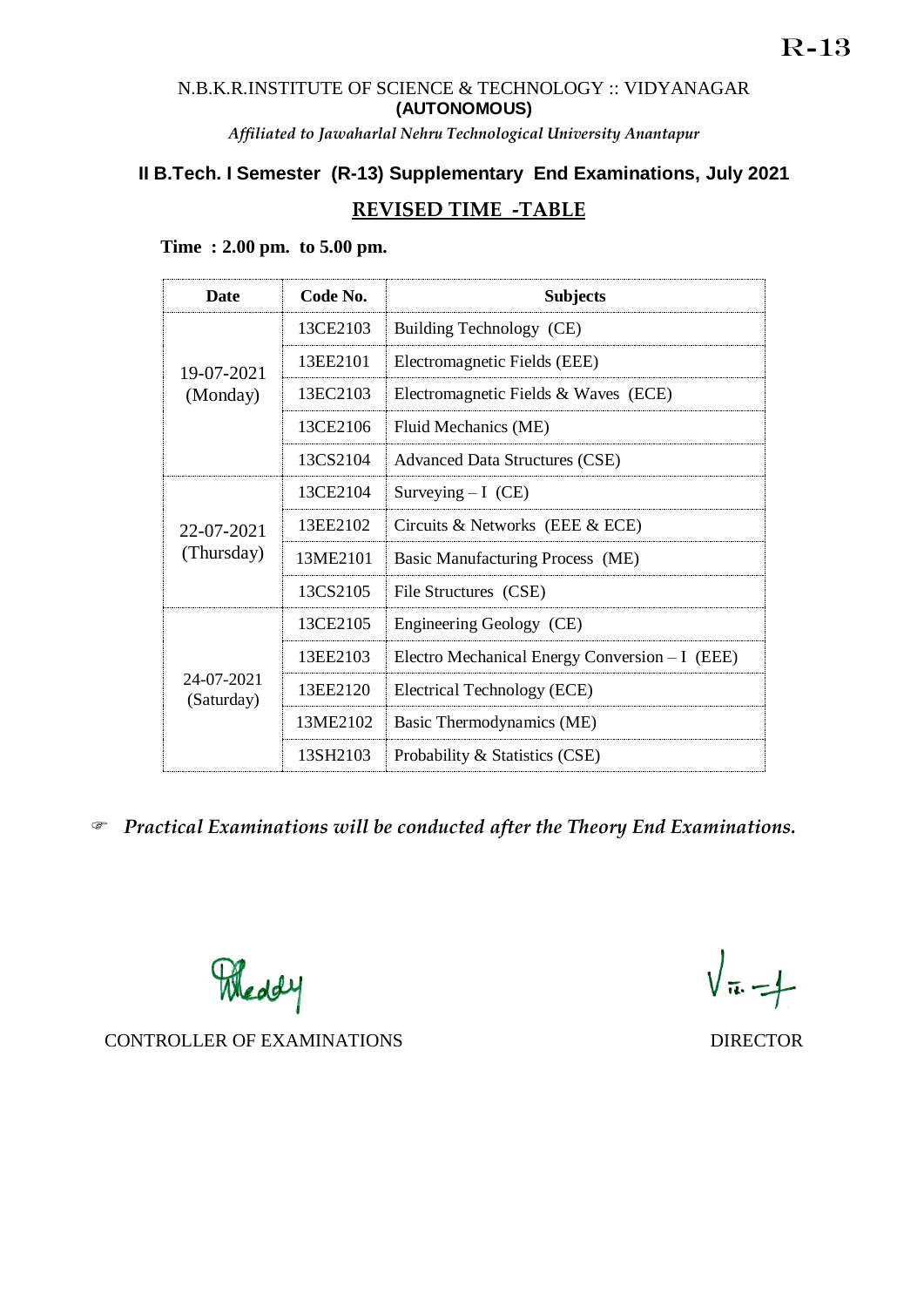### N.B.K.R.INSTITUTE OF SCIENCE & TECHNOLOGY :: VIDYANAGAR **(AUTONOMOUS)**

*Affiliated to Jawaharlal Nehru Technological University Anantapur*

# **II B.Tech. I Semester (R-13) Supplementary End Examinations, July 2021 REVISED TIME -TABLE**

| <b>Date</b>              | Code No. | <b>Subjects</b>                                |
|--------------------------|----------|------------------------------------------------|
| 19-07-2021<br>(Monday)   | 13CE2103 | Building Technology (CE)                       |
|                          | 13EE2101 | Electromagnetic Fields (EEE)                   |
|                          | 13EC2103 | Electromagnetic Fields & Waves (ECE)           |
|                          | 13CE2106 | Fluid Mechanics (ME)                           |
|                          | 13CS2104 | <b>Advanced Data Structures (CSE)</b>          |
| 22-07-2021<br>(Thursday) | 13CE2104 | Surveying $-I$ (CE)                            |
|                          | 13EE2102 | Circuits & Networks (EEE $&$ ECE)              |
|                          | 13ME2101 | Basic Manufacturing Process (ME)               |
|                          | 13CS2105 | File Structures (CSE)                          |
| 24-07-2021<br>(Saturday) | 13CE2105 | Engineering Geology (CE)                       |
|                          | 13EE2103 | Electro Mechanical Energy Conversion - I (EEE) |
|                          | 13EE2120 | Electrical Technology (ECE)                    |
|                          | 13ME2102 | Basic Thermodynamics (ME)                      |
|                          | 13SH2103 | Probability & Statistics (CSE)                 |

## **Time : 2.00 pm. to 5.00 pm.**

*Practical Examinations will be conducted after the Theory End Examinations.* 

Meddy

 $\sqrt{\pi} - 1$ 

CONTROLLER OF EXAMINATIONS DIRECTOR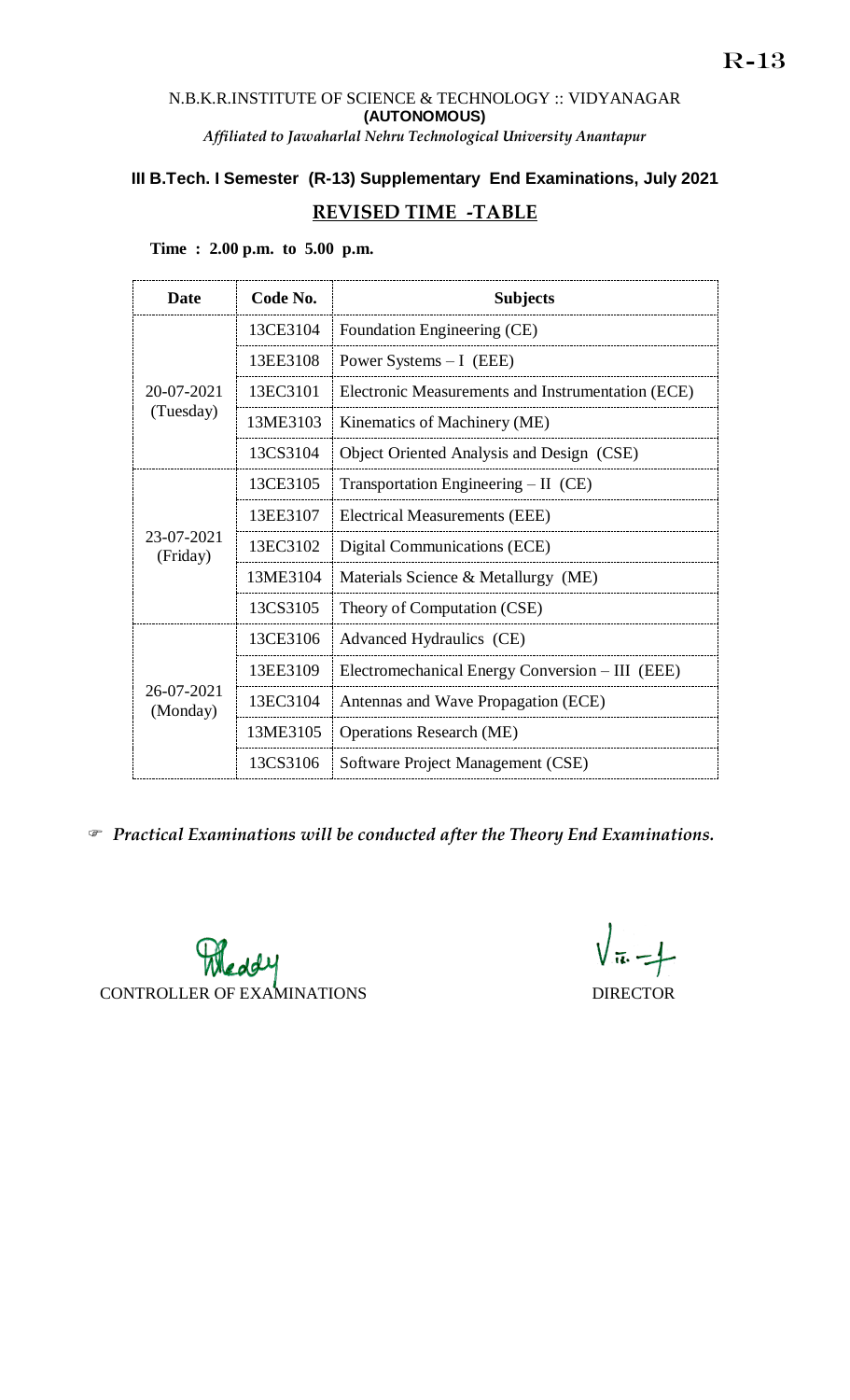### N.B.K.R.INSTITUTE OF SCIENCE & TECHNOLOGY :: VIDYANAGAR **(AUTONOMOUS)** *Affiliated to Jawaharlal Nehru Technological University Anantapur*

# **III B.Tech. I Semester (R-13) Supplementary End Examinations, July 2021**

## **REVISED TIME -TABLE**

| <b>Date</b>             | Code No. | <b>Subjects</b>                                   |
|-------------------------|----------|---------------------------------------------------|
| 20-07-2021<br>(Tuesday) | 13CE3104 | Foundation Engineering (CE)                       |
|                         | 13EE3108 | Power Systems $-I$ (EEE)                          |
|                         | 13EC3101 | Electronic Measurements and Instrumentation (ECE) |
|                         | 13ME3103 | Kinematics of Machinery (ME)                      |
|                         | 13CS3104 | Object Oriented Analysis and Design (CSE)         |
| 23-07-2021<br>(Friday)  | 13CE3105 | Transportation Engineering $- II$ (CE)            |
|                         | 13EE3107 | Electrical Measurements (EEE)                     |
|                         | 13EC3102 | Digital Communications (ECE)                      |
|                         | 13ME3104 | Materials Science & Metallurgy (ME)               |
|                         | 13CS3105 | Theory of Computation (CSE)                       |
| 26-07-2021<br>(Monday)  | 13CE3106 | Advanced Hydraulics (CE)                          |
|                         | 13EE3109 | Electromechanical Energy Conversion – III (EEE)   |
|                         | 13EC3104 | Antennas and Wave Propagation (ECE)               |
|                         | 13ME3105 | <b>Operations Research (ME)</b>                   |
|                         | 13CS3106 | Software Project Management (CSE)                 |

**Time : 2.00 p.m. to 5.00 p.m.**

*Practical Examinations will be conducted after the Theory End Examinations.* 

Pleady CONTROLLER OF EXAMINATIONS DIRECTOR

 $\sqrt{\pi} - 1$